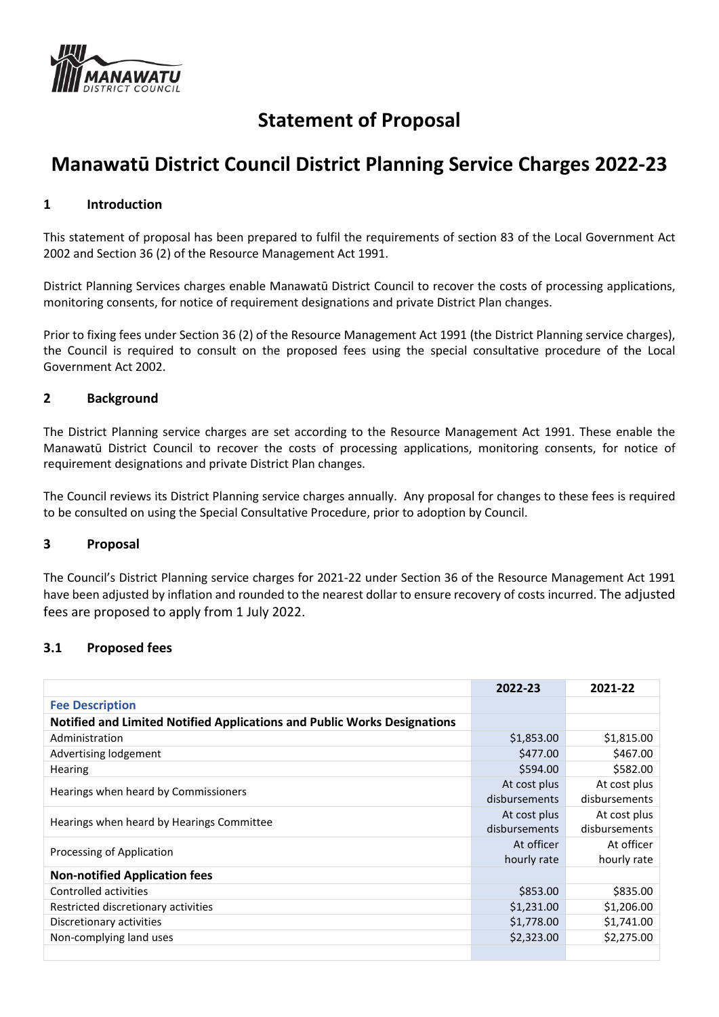

# **Statement of Proposal**

# **Manawatū District Council District Planning Service Charges 2022-23**

## **1 Introduction**

This statement of proposal has been prepared to fulfil the requirements of section 83 of the Local Government Act 2002 and Section 36 (2) of the Resource Management Act 1991.

District Planning Services charges enable Manawatū District Council to recover the costs of processing applications, monitoring consents, for notice of requirement designations and private District Plan changes.

Prior to fixing fees under Section 36 (2) of the Resource Management Act 1991 (the District Planning service charges), the Council is required to consult on the proposed fees using the special consultative procedure of the Local Government Act 2002.

## **2 Background**

The District Planning service charges are set according to the Resource Management Act 1991. These enable the Manawatū District Council to recover the costs of processing applications, monitoring consents, for notice of requirement designations and private District Plan changes.

The Council reviews its District Planning service charges annually. Any proposal for changes to these fees is required to be consulted on using the Special Consultative Procedure, prior to adoption by Council.

#### **3 Proposal**

The Council's District Planning service charges for 2021-22 under Section 36 of the Resource Management Act 1991 have been adjusted by inflation and rounded to the nearest dollar to ensure recovery of costs incurred. The adjusted fees are proposed to apply from 1 July 2022.

## **3.1 Proposed fees**

|                                                                          | 2022-23       | 2021-22       |
|--------------------------------------------------------------------------|---------------|---------------|
| <b>Fee Description</b>                                                   |               |               |
| Notified and Limited Notified Applications and Public Works Designations |               |               |
| Administration                                                           | \$1,853.00    | \$1,815.00    |
| Advertising lodgement                                                    | \$477.00      | \$467.00      |
| <b>Hearing</b>                                                           | \$594.00      | \$582.00      |
| Hearings when heard by Commissioners                                     | At cost plus  | At cost plus  |
|                                                                          | disbursements | disbursements |
| Hearings when heard by Hearings Committee                                | At cost plus  | At cost plus  |
|                                                                          | disbursements | disbursements |
| Processing of Application                                                | At officer    | At officer    |
|                                                                          | hourly rate   | hourly rate   |
| <b>Non-notified Application fees</b>                                     |               |               |
| Controlled activities                                                    | \$853.00      | \$835.00      |
| Restricted discretionary activities                                      | \$1,231.00    | \$1,206.00    |
| Discretionary activities                                                 | \$1,778.00    | \$1,741.00    |
| Non-complying land uses                                                  | \$2,323.00    | \$2,275.00    |
|                                                                          |               |               |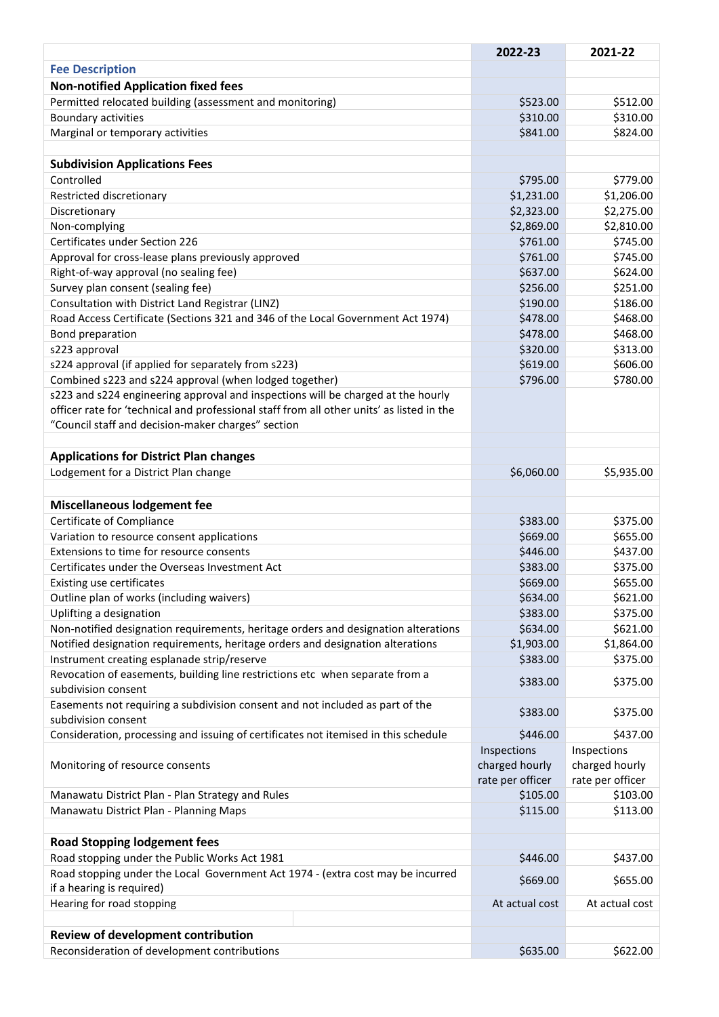|                                                                                           | 2022-23          | 2021-22          |
|-------------------------------------------------------------------------------------------|------------------|------------------|
| <b>Fee Description</b>                                                                    |                  |                  |
| <b>Non-notified Application fixed fees</b>                                                |                  |                  |
| Permitted relocated building (assessment and monitoring)                                  | \$523.00         | \$512.00         |
| Boundary activities                                                                       | \$310.00         | \$310.00         |
| Marginal or temporary activities                                                          | \$841.00         | \$824.00         |
|                                                                                           |                  |                  |
| <b>Subdivision Applications Fees</b>                                                      |                  |                  |
| Controlled                                                                                | \$795.00         | \$779.00         |
| Restricted discretionary                                                                  | \$1,231.00       | \$1,206.00       |
| Discretionary                                                                             | \$2,323.00       | \$2,275.00       |
| Non-complying                                                                             | \$2,869.00       | \$2,810.00       |
| Certificates under Section 226                                                            | \$761.00         | \$745.00         |
| Approval for cross-lease plans previously approved                                        | \$761.00         | \$745.00         |
| Right-of-way approval (no sealing fee)                                                    | \$637.00         | \$624.00         |
| Survey plan consent (sealing fee)                                                         | \$256.00         | \$251.00         |
| Consultation with District Land Registrar (LINZ)                                          | \$190.00         | \$186.00         |
| Road Access Certificate (Sections 321 and 346 of the Local Government Act 1974)           | \$478.00         | \$468.00         |
| Bond preparation                                                                          | \$478.00         | \$468.00         |
| s223 approval                                                                             | \$320.00         | \$313.00         |
| s224 approval (if applied for separately from s223)                                       | \$619.00         | \$606.00         |
| Combined s223 and s224 approval (when lodged together)                                    | \$796.00         | \$780.00         |
| s223 and s224 engineering approval and inspections will be charged at the hourly          |                  |                  |
| officer rate for 'technical and professional staff from all other units' as listed in the |                  |                  |
| "Council staff and decision-maker charges" section                                        |                  |                  |
|                                                                                           |                  |                  |
| <b>Applications for District Plan changes</b>                                             |                  |                  |
| Lodgement for a District Plan change                                                      | \$6,060.00       | \$5,935.00       |
|                                                                                           |                  |                  |
| <b>Miscellaneous lodgement fee</b>                                                        |                  |                  |
| Certificate of Compliance                                                                 | \$383.00         | \$375.00         |
| Variation to resource consent applications                                                | \$669.00         | \$655.00         |
| Extensions to time for resource consents                                                  | \$446.00         | \$437.00         |
| Certificates under the Overseas Investment Act                                            | \$383.00         | \$375.00         |
| Existing use certificates                                                                 | \$669.00         | \$655.00         |
| Outline plan of works (including waivers)                                                 | \$634.00         | \$621.00         |
| Uplifting a designation                                                                   | \$383.00         | \$375.00         |
| Non-notified designation requirements, heritage orders and designation alterations        | \$634.00         | \$621.00         |
| Notified designation requirements, heritage orders and designation alterations            | \$1,903.00       | \$1,864.00       |
| Instrument creating esplanade strip/reserve                                               | \$383.00         | \$375.00         |
| Revocation of easements, building line restrictions etc when separate from a              | \$383.00         | \$375.00         |
| subdivision consent                                                                       |                  |                  |
| Easements not requiring a subdivision consent and not included as part of the             | \$383.00         | \$375.00         |
| subdivision consent                                                                       |                  |                  |
| Consideration, processing and issuing of certificates not itemised in this schedule       | \$446.00         | \$437.00         |
|                                                                                           | Inspections      | Inspections      |
| Monitoring of resource consents                                                           | charged hourly   | charged hourly   |
|                                                                                           | rate per officer | rate per officer |
| Manawatu District Plan - Plan Strategy and Rules                                          | \$105.00         | \$103.00         |
| Manawatu District Plan - Planning Maps                                                    | \$115.00         | \$113.00         |
|                                                                                           |                  |                  |
| <b>Road Stopping lodgement fees</b>                                                       |                  |                  |
| Road stopping under the Public Works Act 1981                                             | \$446.00         | \$437.00         |
| Road stopping under the Local Government Act 1974 - (extra cost may be incurred           | \$669.00         | \$655.00         |
| if a hearing is required)                                                                 |                  |                  |
| Hearing for road stopping                                                                 | At actual cost   | At actual cost   |
|                                                                                           |                  |                  |
| <b>Review of development contribution</b>                                                 |                  |                  |
| Reconsideration of development contributions                                              | \$635.00         | \$622.00         |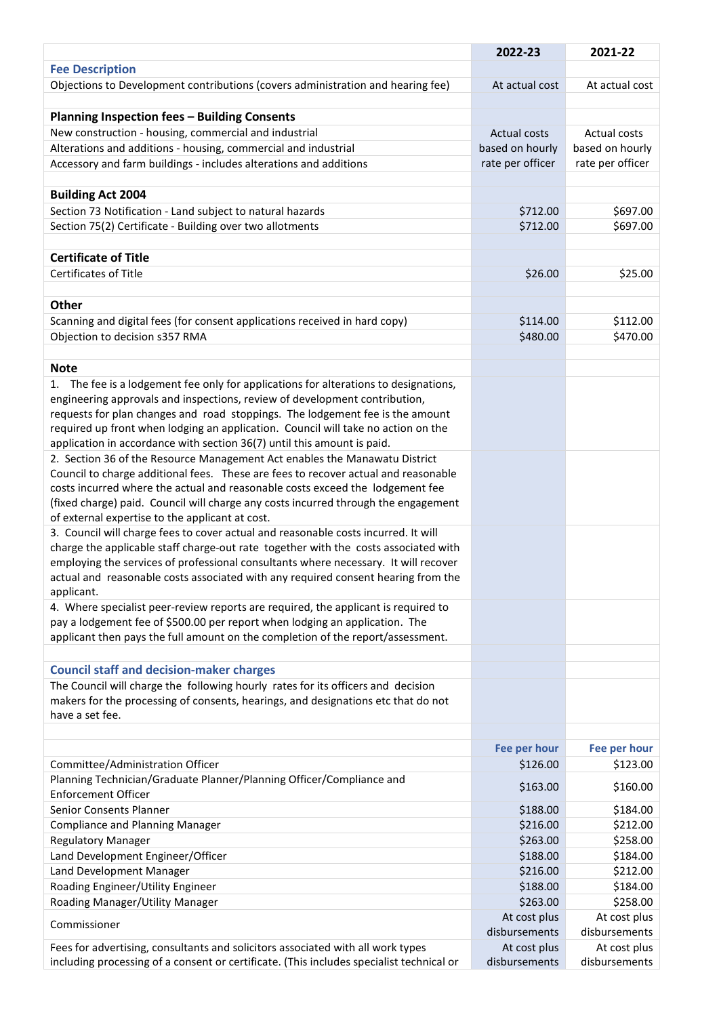|                                                                                                                                       | 2022-23             | 2021-22          |
|---------------------------------------------------------------------------------------------------------------------------------------|---------------------|------------------|
| <b>Fee Description</b>                                                                                                                |                     |                  |
| Objections to Development contributions (covers administration and hearing fee)                                                       | At actual cost      | At actual cost   |
|                                                                                                                                       |                     |                  |
| <b>Planning Inspection fees - Building Consents</b>                                                                                   |                     |                  |
| New construction - housing, commercial and industrial                                                                                 | <b>Actual costs</b> | Actual costs     |
| Alterations and additions - housing, commercial and industrial                                                                        | based on hourly     | based on hourly  |
| Accessory and farm buildings - includes alterations and additions                                                                     | rate per officer    | rate per officer |
|                                                                                                                                       |                     |                  |
| <b>Building Act 2004</b>                                                                                                              |                     |                  |
| Section 73 Notification - Land subject to natural hazards                                                                             | \$712.00            | \$697.00         |
| Section 75(2) Certificate - Building over two allotments                                                                              | \$712.00            | \$697.00         |
|                                                                                                                                       |                     |                  |
| <b>Certificate of Title</b>                                                                                                           |                     |                  |
| Certificates of Title                                                                                                                 | \$26.00             | \$25.00          |
|                                                                                                                                       |                     |                  |
| Other                                                                                                                                 |                     |                  |
| Scanning and digital fees (for consent applications received in hard copy)                                                            | \$114.00            | \$112.00         |
| Objection to decision s357 RMA                                                                                                        | \$480.00            | \$470.00         |
|                                                                                                                                       |                     |                  |
| <b>Note</b>                                                                                                                           |                     |                  |
| 1. The fee is a lodgement fee only for applications for alterations to designations,                                                  |                     |                  |
| engineering approvals and inspections, review of development contribution,                                                            |                     |                  |
| requests for plan changes and road stoppings. The lodgement fee is the amount                                                         |                     |                  |
| required up front when lodging an application. Council will take no action on the                                                     |                     |                  |
| application in accordance with section 36(7) until this amount is paid.                                                               |                     |                  |
| 2. Section 36 of the Resource Management Act enables the Manawatu District                                                            |                     |                  |
| Council to charge additional fees. These are fees to recover actual and reasonable                                                    |                     |                  |
| costs incurred where the actual and reasonable costs exceed the lodgement fee                                                         |                     |                  |
| (fixed charge) paid. Council will charge any costs incurred through the engagement                                                    |                     |                  |
| of external expertise to the applicant at cost.<br>3. Council will charge fees to cover actual and reasonable costs incurred. It will |                     |                  |
| charge the applicable staff charge-out rate together with the costs associated with                                                   |                     |                  |
| employing the services of professional consultants where necessary. It will recover                                                   |                     |                  |
| actual and reasonable costs associated with any required consent hearing from the                                                     |                     |                  |
| applicant.                                                                                                                            |                     |                  |
| 4. Where specialist peer-review reports are required, the applicant is required to                                                    |                     |                  |
| pay a lodgement fee of \$500.00 per report when lodging an application. The                                                           |                     |                  |
| applicant then pays the full amount on the completion of the report/assessment.                                                       |                     |                  |
|                                                                                                                                       |                     |                  |
| <b>Council staff and decision-maker charges</b>                                                                                       |                     |                  |
| The Council will charge the following hourly rates for its officers and decision                                                      |                     |                  |
| makers for the processing of consents, hearings, and designations etc that do not                                                     |                     |                  |
| have a set fee.                                                                                                                       |                     |                  |
|                                                                                                                                       |                     |                  |
|                                                                                                                                       | Fee per hour        | Fee per hour     |
| Committee/Administration Officer                                                                                                      | \$126.00            | \$123.00         |
| Planning Technician/Graduate Planner/Planning Officer/Compliance and                                                                  | \$163.00            | \$160.00         |
| <b>Enforcement Officer</b>                                                                                                            |                     |                  |
| Senior Consents Planner                                                                                                               | \$188.00            | \$184.00         |
| <b>Compliance and Planning Manager</b>                                                                                                | \$216.00            | \$212.00         |
| <b>Regulatory Manager</b>                                                                                                             | \$263.00            | \$258.00         |
| Land Development Engineer/Officer                                                                                                     | \$188.00            | \$184.00         |
| Land Development Manager                                                                                                              | \$216.00            | \$212.00         |
| Roading Engineer/Utility Engineer                                                                                                     | \$188.00            | \$184.00         |
| Roading Manager/Utility Manager                                                                                                       | \$263.00            | \$258.00         |
| Commissioner                                                                                                                          | At cost plus        | At cost plus     |
|                                                                                                                                       | disbursements       | disbursements    |
| Fees for advertising, consultants and solicitors associated with all work types                                                       | At cost plus        | At cost plus     |
| including processing of a consent or certificate. (This includes specialist technical or                                              | disbursements       | disbursements    |